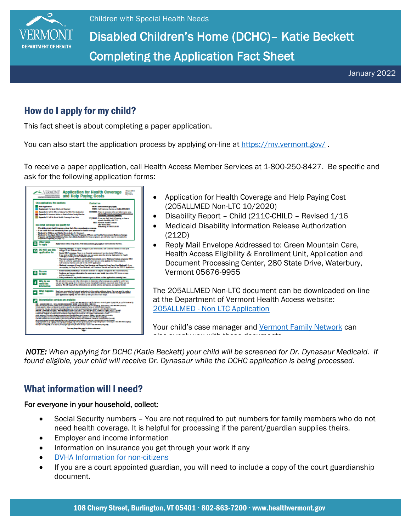

## Disabled Children's Home (DCHC)– Katie Beckett Completing the Application Fact Sheet

January 2022

### How do I apply for my child?

This fact sheet is about completing a paper application.

You can also start the application process by applying on-line at <https://my.vermont.gov/>.

To receive a paper application, call Health Access Member Services at 1-800-250-8427. Be specific and ask for the following application forms:



- Application for Health Coverage and Help Paying Cost (205ALLMED Non-LTC 10/2020)
- Disability Report Child (211C-CHILD Revised 1/16
- Medicaid Disability Information Release Authorization (212D)
- Reply Mail Envelope Addressed to: Green Mountain Care, Health Access Eligibility & Enrollment Unit, Application and Document Processing Center, 280 State Drive, Waterbury, Vermont 05676-9955

The 205ALLMED Non-LTC document can be downloaded on-line at the Department of Vermont Health Access website: 205ALLMED - [Non LTC Application](https://dvha.vermont.gov/members/vermont-medicaid-programs/medicaid/medicaid-aged-blind-or-disabled-mabd)

Your child's case manager and [Vermont Family Network](https://www.vermontfamilynetwork.org/) can also supply you with these documents.

**NOTE:** When applying for DCHC (Katie Beckett) your child will be screened for Dr. Dynasaur Medicaid. If **Same Cation**<br>Same aligible way whild will reasing Dr. Dynassywwhile the DOUO application is heig geneesees of found eligible, your child will receive Dr. Dynasaur while the DCHC application is being processed.<br>.

## What information will I need?

#### For everyone in your household, collect:

- Social Security numbers You are not required to put numbers for family members who do not need health coverage. It is helpful for processing if the parent/guardian supplies theirs.
- Employer and income information
- Information on insurance you get through your work if any
- [DVHA Information for non-citizens](https://dvha.vermont.gov/information-for-non-citizens)
- If you are a court appointed guardian, you will need to include a copy of the court guardianship document.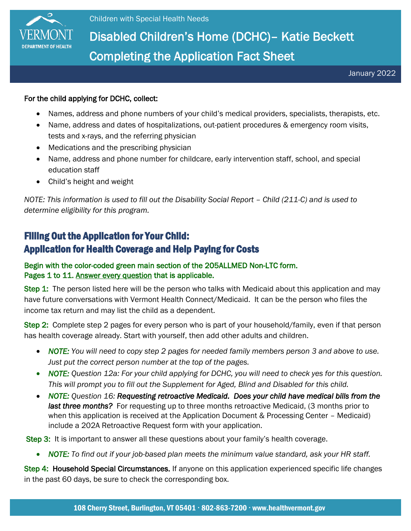

# Disabled Children's Home (DCHC)– Katie Beckett Completing the Application Fact Sheet

#### For the child applying for DCHC, collect:

- Names, address and phone numbers of your child's medical providers, specialists, therapists, etc.
- Name, address and dates of hospitalizations, out-patient procedures & emergency room visits, tests and x-rays, and the referring physician
- Medications and the prescribing physician
- Name, address and phone number for childcare, early intervention staff, school, and special education staff
- Child's height and weight

*NOTE: This information is used to fill out the Disability Social Report – Child (211-C) and is used to determine eligibility for this program.*

## Filling Out the Application for Your Child: Application for Health Coverage and Help Paying for Costs

#### Begin with the color-coded green main section of the 205ALLMED Non-LTC form. Pages 1 to 11. Answer every question that is applicable.

Step 1: The person listed here will be the person who talks with Medicaid about this application and may have future conversations with Vermont Health Connect/Medicaid. It can be the person who files the income tax return and may list the child as a dependent.

Step 2: Complete step 2 pages for every person who is part of your household/family, even if that person has health coverage already. Start with yourself, then add other adults and children.

- *NOTE: You will need to copy step 2 pages for needed family members person 3 and above to use. Just put the correct person number at the top of the pages.*
- *NOTE: Question 12a: For your child applying for DCHC, you will need to check yes for this question. This will prompt you to fill out the Supplement for Aged, Blind and Disabled for this child.*
- *NOTE: Question 16: Requesting retroactive Medicaid. Does your child have medical bills from the last three months?* For requesting up to three months retroactive Medicaid, (3 months prior to when this application is received at the Application Document & Processing Center – Medicaid) include a 202A Retroactive Request form with your application.

Step 3: It is important to answer all these questions about your family's health coverage.

• *NOTE: To find out if your job-based plan meets the minimum value standard, ask your HR staff.* 

Step 4: Household Special Circumstances. If anyone on this application experienced specific life changes in the past 60 days, be sure to check the corresponding box.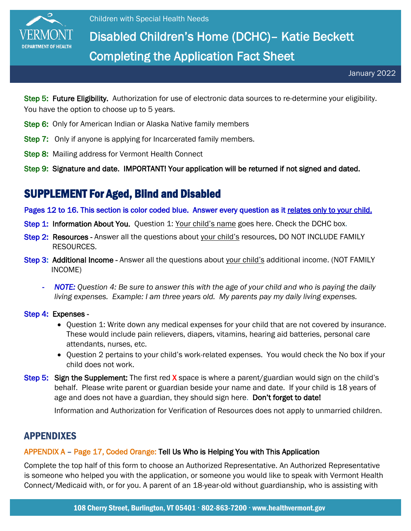

# Disabled Children's Home (DCHC)– Katie Beckett Completing the Application Fact Sheet

Step 5: Future Eligibility. Authorization for use of electronic data sources to re-determine your eligibility. You have the option to choose up to 5 years.

- Step 6: Only for American Indian or Alaska Native family members
- **Step 7:** Only if anyone is applying for Incarcerated family members.
- **Step 8:** Mailing address for Vermont Health Connect
- Step 9: Signature and date. IMPORTANT! Your application will be returned if not signed and dated.

## SUPPLEMENT For Aged, Blind and Disabled

Pages 12 to 16. This section is color coded blue. Answer every question as it relates only to your child.

- Step 1: Information About You. Question 1: Your child's name goes here. Check the DCHC box.
- Step 2: Resources Answer all the questions about your child's resources. DO NOT INCLUDE FAMILY RESOURCES.
- Step 3: Additional Income Answer all the questions about your child's additional income. (NOT FAMILY INCOME)
	- *NOTE: Question 4: Be sure to answer this with the age of your child and who is paying the daily living expenses. Example: I am three years old. My parents pay my daily living expenses.*

Step 4: Expenses -

- Question 1: Write down any medical expenses for your child that are not covered by insurance. These would include pain relievers, diapers, vitamins, hearing aid batteries, personal care attendants, nurses, etc.
- Question 2 pertains to your child's work-related expenses. You would check the No box if your child does not work.
- Step 5: Sign the Supplement: The first red X space is where a parent/guardian would sign on the child's behalf. Please write parent or guardian beside your name and date. If your child is 18 years of age and does not have a guardian, they should sign here. Don't forget to date!

Information and Authorization for Verification of Resources does not apply to unmarried children.

### APPENDIXES

#### APPENDIX A – Page 17, Coded Orange: Tell Us Who is Helping You with This Application

Complete the top half of this form to choose an Authorized Representative. An Authorized Representative is someone who helped you with the application, or someone you would like to speak with Vermont Health Connect/Medicaid with, or for you. A parent of an 18-year-old without guardianship, who is assisting with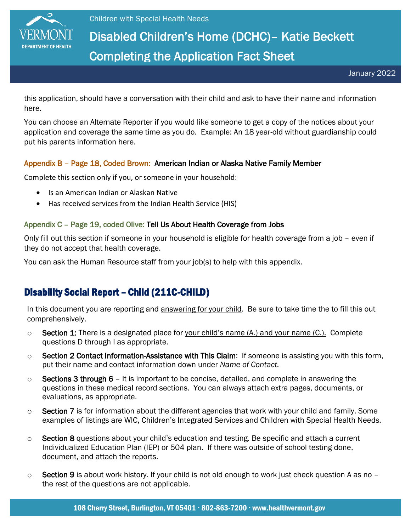

# Disabled Children's Home (DCHC)– Katie Beckett Completing the Application Fact Sheet

January 2022

this application, should have a conversation with their child and ask to have their name and information here.

You can choose an Alternate Reporter if you would like someone to get a copy of the notices about your application and coverage the same time as you do. Example: An 18 year-old without guardianship could put his parents information here.

#### Appendix B – Page 18, Coded Brown: American Indian or Alaska Native Family Member

Complete this section only if you, or someone in your household:

- Is an American Indian or Alaskan Native
- Has received services from the Indian Health Service (HIS)

#### Appendix C – Page 19, coded Olive: Tell Us About Health Coverage from Jobs

Only fill out this section if someone in your household is eligible for health coverage from a job – even if they do not accept that health coverage.

You can ask the Human Resource staff from your job(s) to help with this appendix.

### Disability Social Report – Child (211C-CHILD)

In this document you are reporting and answering for your child. Be sure to take time the to fill this out comprehensively.

- $\circ$  Section 1: There is a designated place for your child's name (A.) and your name (C.). Complete questions D through I as appropriate.
- $\circ$  Section 2 Contact Information-Assistance with This Claim: If someone is assisting you with this form, put their name and contact information down under *Name of Contact.*
- $\circ$  Sections 3 through 6 It is important to be concise, detailed, and complete in answering the questions in these medical record sections. You can always attach extra pages, documents, or evaluations, as appropriate.
- $\circ$  Section 7 is for information about the different agencies that work with your child and family. Some examples of listings are WIC, Children's Integrated Services and Children with Special Health Needs.
- $\circ$  Section 8 questions about your child's education and testing. Be specific and attach a current Individualized Education Plan (IEP) or 504 plan. If there was outside of school testing done, document, and attach the reports.
- $\circ$  Section 9 is about work history. If your child is not old enough to work just check question A as no the rest of the questions are not applicable.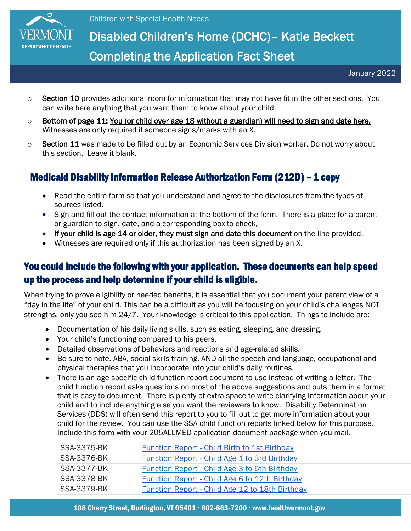

# Disabled Children's Home (DCHC)– Katie Beckett Completing the Application Fact Sheet

January 2022

- $\circ$  Section 10 provides additional room for information that may not have fit in the other sections. You can write here anything that you want them to know about your child.
- $\circ$  Bottom of page 11: You (or child over age 18 without a guardian) will need to sign and date here. Witnesses are only required if someone signs/marks with an X.
- $\circ$  Section 11 was made to be filled out by an Economic Services Division worker. Do not worry about this section. Leave it blank.

## Medicaid Disability Information Release Authorization Form (212D) – 1 copy

- Read the entire form so that you understand and agree to the disclosures from the types of sources listed.
- Sign and fill out the contact information at the bottom of the form. There is a place for a parent or guardian to sign, date, and a corresponding box to check.
- If your child is age 14 or older, they must sign and date this document on the line provided.
- Witnesses are required only if this authorization has been signed by an X.

## You could include the following with your application. These documents can help speed up the process and help determine if your child is eligible.

When trying to prove eligibility or needed benefits, it is essential that you document your parent view of a "day in the life" of your child. This can be a difficult as you will be focusing on your child's challenges NOT strengths, only you see him 24/7. Your knowledge is critical to this application. Things to include are:

- Documentation of his daily living skills, such as eating, sleeping, and dressing.
- Your child's functioning compared to his peers.
- Detailed observations of behaviors and reactions and age-related skills.
- Be sure to note, ABA, social skills training, AND all the speech and language, occupational and physical therapies that you incorporate into your child's daily routines.
- There is an age-specific child function report document to use instead of writing a letter. The child function report asks questions on most of the above suggestions and puts them in a format that is easy to document. There is plenty of extra space to write clarifying information about your child and to include anything else you want the reviewers to know. Disability Determination Services (DDS) will often send this report to you to fill out to get more information about your child for the review. You can use the SSA child function reports linked below for this purpose. Include this form with your 205ALLMED application document package when you mail.

| <b>SSA-3375-BK</b> | Function Report - Child Birth to 1st Birthday         |
|--------------------|-------------------------------------------------------|
| <b>SSA-3376-BK</b> | <b>Function Report - Child Age 1 to 3rd Birthday</b>  |
| SSA-3377-BK        | Function Report - Child Age 3 to 6th Birthday         |
| SSA-3378-BK        | <b>Function Report - Child Age 6 to 12th Birthday</b> |
| <b>SSA-3379-BK</b> | Function Report - Child Age 12 to 18th Birthday       |